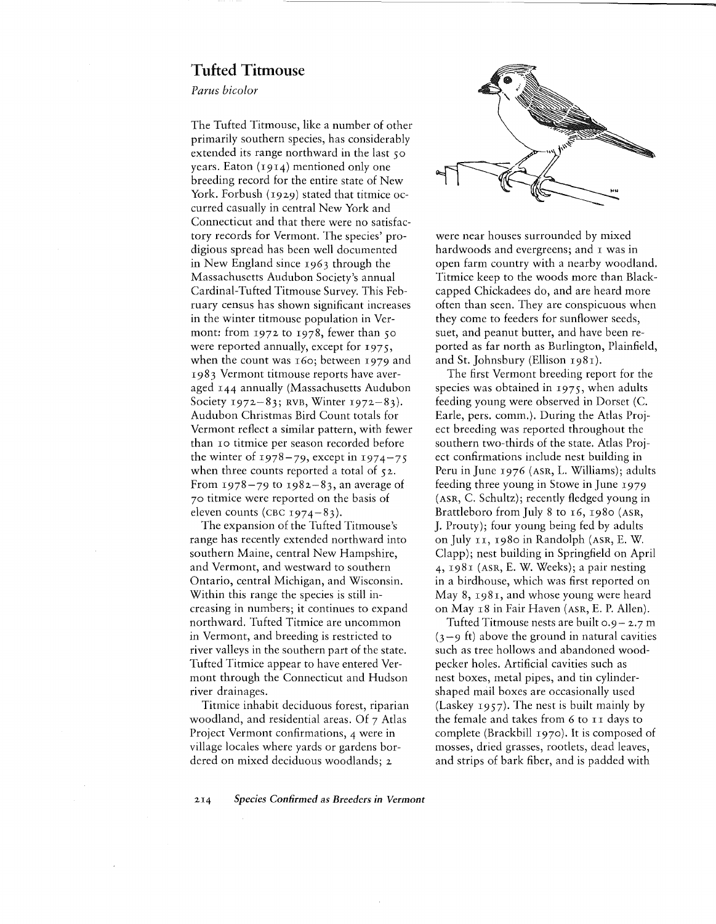## **Tufted Titmouse**

*Parus hieD/or*

The Tufted Titmouse, like a number of other primarily southern species, has considerably extended its range northward in the last 50 years. Eaton (1914) mentioned only one breeding record for the entire state of New York. Forbush (1929) stated that titmice occurred casually in central New York and Connecticut and that there were no satisfactory records for Vermont. The species' prodigious spread has been well documented in New England since I963 through the Massachusetts Audubon Society's annual Cardinal-Tufted Titmouse Survey. This February census has shown significant increases in the winter titmouse population in Vermont: from  $1972$  to  $1978$ , fewer than 50 were reported annually, except for 1975, when the count was 160; between 1979 and I983 Vermont titmouse reports have averaged 144 annually (Massachusetts Audubon Society 1972-83; RVB, Winter 1972-83). Audubon Christmas Bird Count totals for Vermont reflect a similar pattern, with fewer than IO titmice per season recorded before the winter of  $1978-79$ , except in  $1974-75$ when three counts reported a total of 52. From  $1978 - 79$  to  $1982 - 83$ , an average of 70 titmice were reported on the basis of eleven counts (CBC  $1974-83$ ).

The expansion of the Tufted Titmouse's range has recently extended northward into southern Maine, central New Hampshire, and Vermont, and westward to southern Ontario, central Michigan, and Wisconsin. Within this range the species is still increasing in numbers; it continues to expand northward. Tufted Titmice are uncommon in Vermont, and breeding is restricted to river valleys in the southern part of the state. Tufted Titmice appear to have entered Vermont through the Connecticut and Hudson river drainages.

Titmice inhabit deciduous forest, riparian woodland, and residential areas. Of 7 Atlas Project Vermont confirmations, 4 were in village locales where yards or gardens bordered on mixed deciduous woodlands; <sup>2</sup>



were near houses surrounded by mixed hardwoods and evergreens; and I was in open farm country with a nearby woodland. Titmice keep to the woods more than Blackcapped Chickadees do, and are heard more often than seen. They are conspicuous when they come to feeders for sunflower seeds, suet, and peanut butter, and have been reported as far north as Burlington, Plainfield, and St. Johnsbury (Ellison I98I).

The first Vermont breeding report for the species was obtained in  $1975$ , when adults feeding young were observed in Dorset (c. Earle, pers. comm.). During the Atlas Project breeding was reported throughout the southern two-thirds of the state. Atlas Project confirmations include nest building in Peru in June I976 (ASR, L. Williams); adults feeding three young in Stowe in June I979 (ASR, C. Schultz); recently fledged young in Brattleboro from July 8 to 16, 1980 (ASR, J. Prouty); four young being fed by adults on July II, I980 in Randolph (ASR, E. W. Clapp); nest building in Springfield on April  $4, 198$ I (ASR, E. W. Weeks); a pair nesting in a birdhouse, which was first reported on May 8, 1981, and whose young were heard on May I8 in Fair Haven (ASR, E. P. Allen).

Tufted Titmouse nests are built 0.9- 2.7 m  $(3 - 9)$  ft) above the ground in natural cavities such as tree hollows and abandoned woodpecker holes. Artificial cavities such as nest boxes, metal pipes, and tin cylindershaped mail boxes are occasionally used (Laskey I957). The nest is built mainly by the female and takes from 6 to 11 days to complete (Brackbill 1970). It is composed of mosses, dried grasses, rootlets, dead leaves, and strips of bark fiber, and is padded with

2I4 *Species Confirmed* as *Breeders in Vermont*